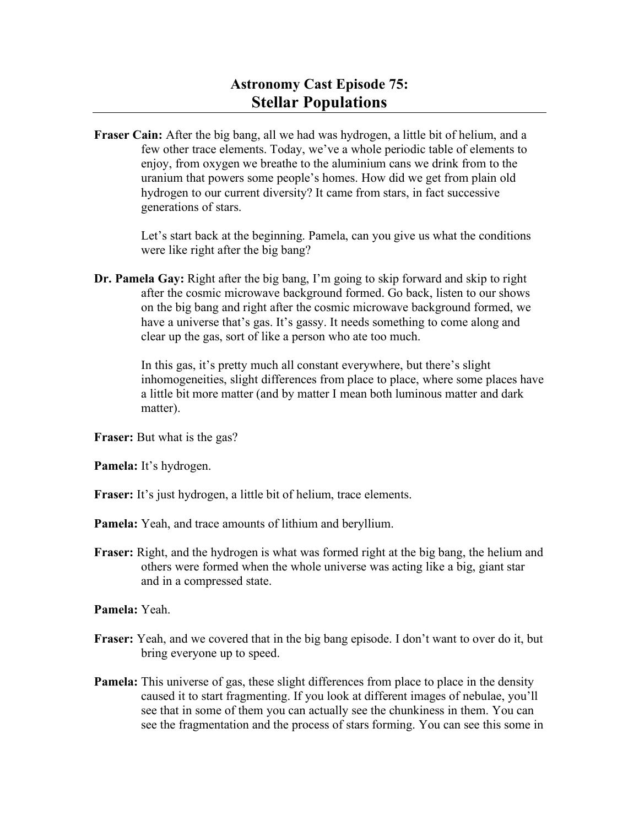**Fraser Cain:** After the big bang, all we had was hydrogen, a little bit of helium, and a few other trace elements. Today, we've a whole periodic table of elements to enjoy, from oxygen we breathe to the aluminium cans we drink from to the uranium that powers some people's homes. How did we get from plain old hydrogen to our current diversity? It came from stars, in fact successive generations of stars.

> Let's start back at the beginning. Pamela, can you give us what the conditions were like right after the big bang?

**Dr. Pamela Gay:** Right after the big bang, I'm going to skip forward and skip to right after the cosmic microwave background formed. Go back, listen to our shows on the big bang and right after the cosmic microwave background formed, we have a universe that's gas. It's gassy. It needs something to come along and clear up the gas, sort of like a person who ate too much.

> In this gas, it's pretty much all constant everywhere, but there's slight inhomogeneities, slight differences from place to place, where some places have a little bit more matter (and by matter I mean both luminous matter and dark matter).

**Fraser:** But what is the gas?

**Pamela:** It's hydrogen.

**Fraser:** It's just hydrogen, a little bit of helium, trace elements.

**Pamela:** Yeah, and trace amounts of lithium and beryllium.

**Fraser:** Right, and the hydrogen is what was formed right at the big bang, the helium and others were formed when the whole universe was acting like a big, giant star and in a compressed state.

**Pamela:** Yeah.

- **Fraser:** Yeah, and we covered that in the big bang episode. I don't want to over do it, but bring everyone up to speed.
- **Pamela:** This universe of gas, these slight differences from place to place in the density caused it to start fragmenting. If you look at different images of nebulae, you'll see that in some of them you can actually see the chunkiness in them. You can see the fragmentation and the process of stars forming. You can see this some in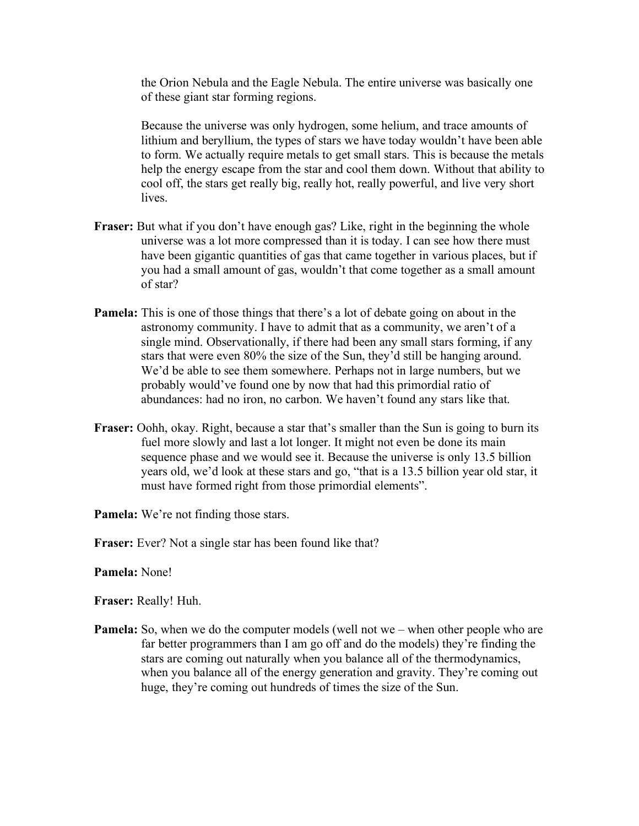the Orion Nebula and the Eagle Nebula. The entire universe was basically one of these giant star forming regions.

Because the universe was only hydrogen, some helium, and trace amounts of lithium and beryllium, the types of stars we have today wouldn't have been able to form. We actually require metals to get small stars. This is because the metals help the energy escape from the star and cool them down. Without that ability to cool off, the stars get really big, really hot, really powerful, and live very short **lives** 

- **Fraser:** But what if you don't have enough gas? Like, right in the beginning the whole universe was a lot more compressed than it is today. I can see how there must have been gigantic quantities of gas that came together in various places, but if you had a small amount of gas, wouldn't that come together as a small amount of star?
- **Pamela:** This is one of those things that there's a lot of debate going on about in the astronomy community. I have to admit that as a community, we aren't of a single mind. Observationally, if there had been any small stars forming, if any stars that were even 80% the size of the Sun, they'd still be hanging around. We'd be able to see them somewhere. Perhaps not in large numbers, but we probably would've found one by now that had this primordial ratio of abundances: had no iron, no carbon. We haven't found any stars like that.
- **Fraser:** Oohh, okay. Right, because a star that's smaller than the Sun is going to burn its fuel more slowly and last a lot longer. It might not even be done its main sequence phase and we would see it. Because the universe is only 13.5 billion years old, we'd look at these stars and go, "that is a 13.5 billion year old star, it must have formed right from those primordial elements".
- **Pamela:** We're not finding those stars.
- **Fraser:** Ever? Not a single star has been found like that?
- **Pamela:** None!

**Fraser:** Really! Huh.

**Pamela:** So, when we do the computer models (well not we – when other people who are far better programmers than I am go off and do the models) they're finding the stars are coming out naturally when you balance all of the thermodynamics, when you balance all of the energy generation and gravity. They're coming out huge, they're coming out hundreds of times the size of the Sun.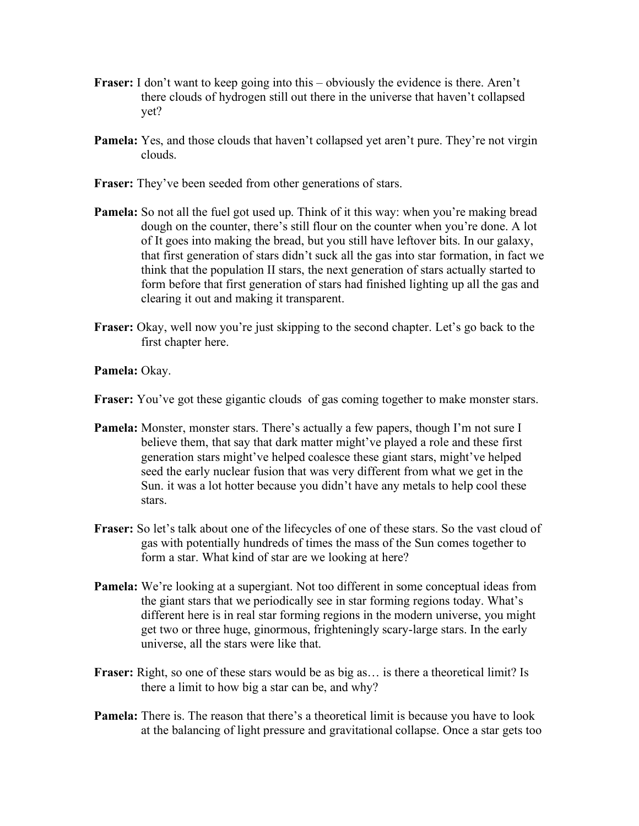- **Fraser:** I don't want to keep going into this obviously the evidence is there. Aren't there clouds of hydrogen still out there in the universe that haven't collapsed yet?
- **Pamela:** Yes, and those clouds that haven't collapsed yet aren't pure. They're not virgin clouds.
- **Fraser:** They've been seeded from other generations of stars.
- **Pamela:** So not all the fuel got used up. Think of it this way: when you're making bread dough on the counter, there's still flour on the counter when you're done. A lot of It goes into making the bread, but you still have leftover bits. In our galaxy, that first generation of stars didn't suck all the gas into star formation, in fact we think that the population II stars, the next generation of stars actually started to form before that first generation of stars had finished lighting up all the gas and clearing it out and making it transparent.
- **Fraser:** Okay, well now you're just skipping to the second chapter. Let's go back to the first chapter here.

**Pamela:** Okay.

- **Fraser:** You've got these gigantic clouds of gas coming together to make monster stars.
- **Pamela:** Monster, monster stars. There's actually a few papers, though I'm not sure I believe them, that say that dark matter might've played a role and these first generation stars might've helped coalesce these giant stars, might've helped seed the early nuclear fusion that was very different from what we get in the Sun. it was a lot hotter because you didn't have any metals to help cool these stars.
- **Fraser:** So let's talk about one of the lifecycles of one of these stars. So the vast cloud of gas with potentially hundreds of times the mass of the Sun comes together to form a star. What kind of star are we looking at here?
- **Pamela:** We're looking at a supergiant. Not too different in some conceptual ideas from the giant stars that we periodically see in star forming regions today. What's different here is in real star forming regions in the modern universe, you might get two or three huge, ginormous, frighteningly scary-large stars. In the early universe, all the stars were like that.
- **Fraser:** Right, so one of these stars would be as big as… is there a theoretical limit? Is there a limit to how big a star can be, and why?
- **Pamela:** There is. The reason that there's a theoretical limit is because you have to look at the balancing of light pressure and gravitational collapse. Once a star gets too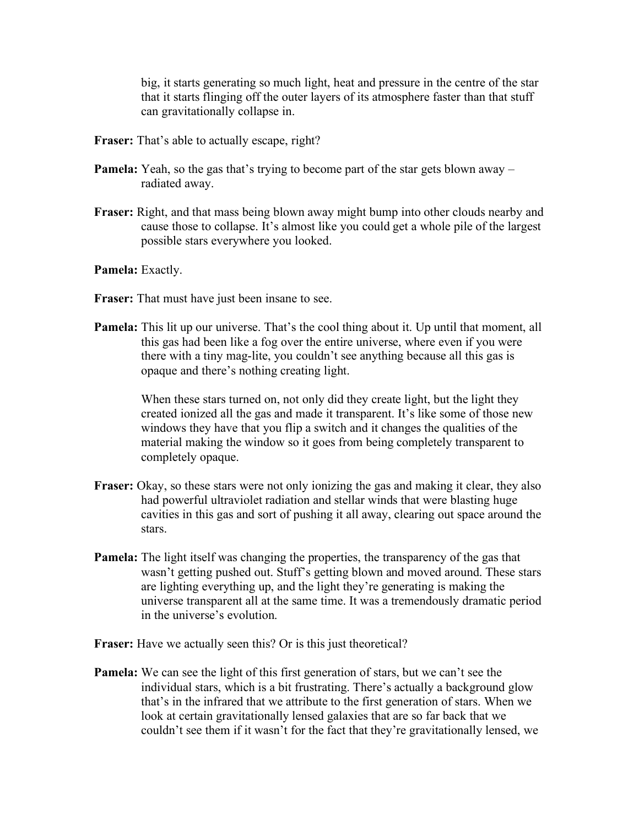big, it starts generating so much light, heat and pressure in the centre of the star that it starts flinging off the outer layers of its atmosphere faster than that stuff can gravitationally collapse in.

- **Fraser:** That's able to actually escape, right?
- **Pamela:** Yeah, so the gas that's trying to become part of the star gets blown away radiated away.
- **Fraser:** Right, and that mass being blown away might bump into other clouds nearby and cause those to collapse. It's almost like you could get a whole pile of the largest possible stars everywhere you looked.

**Pamela:** Exactly.

- **Fraser:** That must have just been insane to see.
- **Pamela:** This lit up our universe. That's the cool thing about it. Up until that moment, all this gas had been like a fog over the entire universe, where even if you were there with a tiny mag-lite, you couldn't see anything because all this gas is opaque and there's nothing creating light.

When these stars turned on, not only did they create light, but the light they created ionized all the gas and made it transparent. It's like some of those new windows they have that you flip a switch and it changes the qualities of the material making the window so it goes from being completely transparent to completely opaque.

- **Fraser:** Okay, so these stars were not only ionizing the gas and making it clear, they also had powerful ultraviolet radiation and stellar winds that were blasting huge cavities in this gas and sort of pushing it all away, clearing out space around the stars.
- **Pamela:** The light itself was changing the properties, the transparency of the gas that wasn't getting pushed out. Stuff's getting blown and moved around. These stars are lighting everything up, and the light they're generating is making the universe transparent all at the same time. It was a tremendously dramatic period in the universe's evolution.
- **Fraser:** Have we actually seen this? Or is this just theoretical?
- **Pamela:** We can see the light of this first generation of stars, but we can't see the individual stars, which is a bit frustrating. There's actually a background glow that's in the infrared that we attribute to the first generation of stars. When we look at certain gravitationally lensed galaxies that are so far back that we couldn't see them if it wasn't for the fact that they're gravitationally lensed, we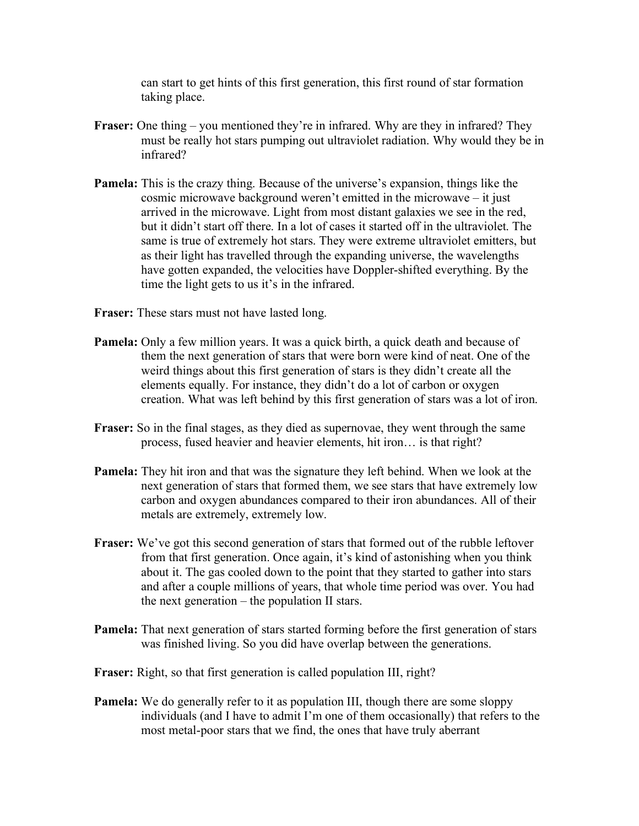can start to get hints of this first generation, this first round of star formation taking place.

- **Fraser:** One thing you mentioned they're in infrared. Why are they in infrared? They must be really hot stars pumping out ultraviolet radiation. Why would they be in infrared?
- **Pamela:** This is the crazy thing. Because of the universe's expansion, things like the cosmic microwave background weren't emitted in the microwave – it just arrived in the microwave. Light from most distant galaxies we see in the red, but it didn't start off there. In a lot of cases it started off in the ultraviolet. The same is true of extremely hot stars. They were extreme ultraviolet emitters, but as their light has travelled through the expanding universe, the wavelengths have gotten expanded, the velocities have Doppler-shifted everything. By the time the light gets to us it's in the infrared.
- **Fraser:** These stars must not have lasted long.
- **Pamela:** Only a few million years. It was a quick birth, a quick death and because of them the next generation of stars that were born were kind of neat. One of the weird things about this first generation of stars is they didn't create all the elements equally. For instance, they didn't do a lot of carbon or oxygen creation. What was left behind by this first generation of stars was a lot of iron.
- **Fraser:** So in the final stages, as they died as supernovae, they went through the same process, fused heavier and heavier elements, hit iron… is that right?
- **Pamela:** They hit iron and that was the signature they left behind. When we look at the next generation of stars that formed them, we see stars that have extremely low carbon and oxygen abundances compared to their iron abundances. All of their metals are extremely, extremely low.
- **Fraser:** We've got this second generation of stars that formed out of the rubble leftover from that first generation. Once again, it's kind of astonishing when you think about it. The gas cooled down to the point that they started to gather into stars and after a couple millions of years, that whole time period was over. You had the next generation – the population II stars.
- **Pamela:** That next generation of stars started forming before the first generation of stars was finished living. So you did have overlap between the generations.
- **Fraser:** Right, so that first generation is called population III, right?
- **Pamela:** We do generally refer to it as population III, though there are some sloppy individuals (and I have to admit I'm one of them occasionally) that refers to the most metal-poor stars that we find, the ones that have truly aberrant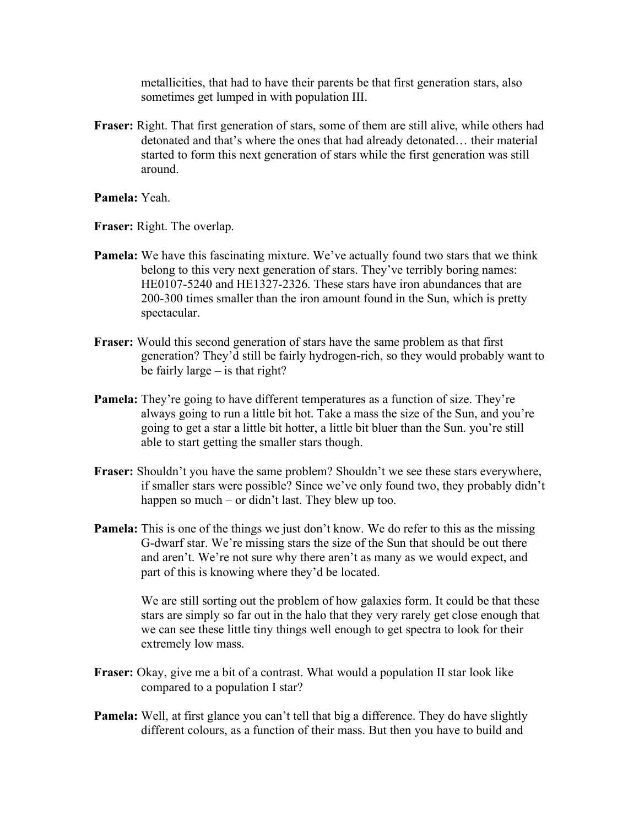metallicities, that had to have their parents be that first generation stars, also sometimes get lumped in with population III.

**Fraser:** Right. That first generation of stars, some of them are still alive, while others had detonated and that's where the ones that had already detonated… their material started to form this next generation of stars while the first generation was still around.

**Pamela:** Yeah.

**Fraser:** Right. The overlap.

- **Pamela:** We have this fascinating mixture. We've actually found two stars that we think belong to this very next generation of stars. They've terribly boring names: HE0107-5240 and HE1327-2326. These stars have iron abundances that are 200-300 times smaller than the iron amount found in the Sun, which is pretty spectacular.
- **Fraser:** Would this second generation of stars have the same problem as that first generation? They'd still be fairly hydrogen-rich, so they would probably want to be fairly large – is that right?
- **Pamela:** They're going to have different temperatures as a function of size. They're always going to run a little bit hot. Take a mass the size of the Sun, and you're going to get a star a little bit hotter, a little bit bluer than the Sun. you're still able to start getting the smaller stars though.
- **Fraser:** Shouldn't you have the same problem? Shouldn't we see these stars everywhere, if smaller stars were possible? Since we've only found two, they probably didn't happen so much – or didn't last. They blew up too.
- **Pamela:** This is one of the things we just don't know. We do refer to this as the missing G-dwarf star. We're missing stars the size of the Sun that should be out there and aren't. We're not sure why there aren't as many as we would expect, and part of this is knowing where they'd be located.

We are still sorting out the problem of how galaxies form. It could be that these stars are simply so far out in the halo that they very rarely get close enough that we can see these little tiny things well enough to get spectra to look for their extremely low mass.

- **Fraser:** Okay, give me a bit of a contrast. What would a population II star look like compared to a population I star?
- **Pamela:** Well, at first glance you can't tell that big a difference. They do have slightly different colours, as a function of their mass. But then you have to build and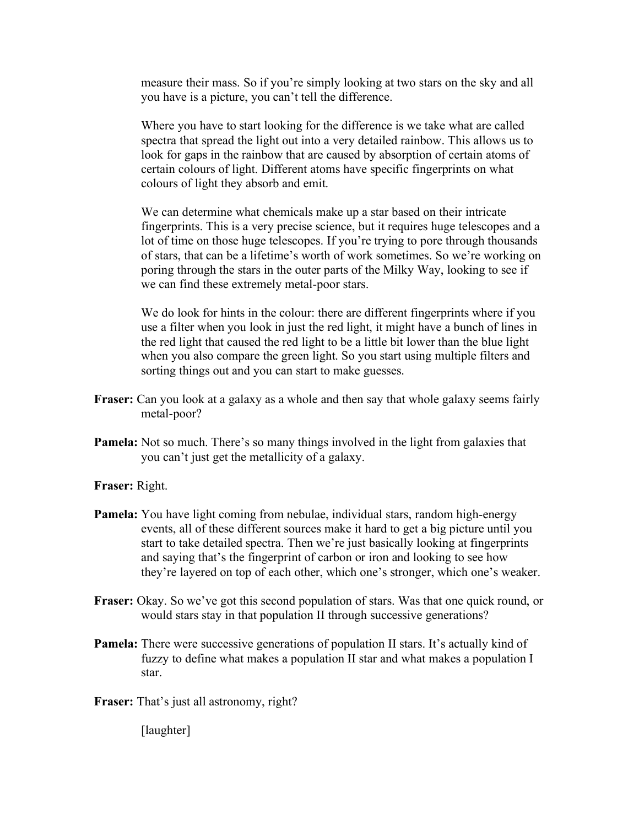measure their mass. So if you're simply looking at two stars on the sky and all you have is a picture, you can't tell the difference.

Where you have to start looking for the difference is we take what are called spectra that spread the light out into a very detailed rainbow. This allows us to look for gaps in the rainbow that are caused by absorption of certain atoms of certain colours of light. Different atoms have specific fingerprints on what colours of light they absorb and emit.

We can determine what chemicals make up a star based on their intricate fingerprints. This is a very precise science, but it requires huge telescopes and a lot of time on those huge telescopes. If you're trying to pore through thousands of stars, that can be a lifetime's worth of work sometimes. So we're working on poring through the stars in the outer parts of the Milky Way, looking to see if we can find these extremely metal-poor stars.

We do look for hints in the colour: there are different fingerprints where if you use a filter when you look in just the red light, it might have a bunch of lines in the red light that caused the red light to be a little bit lower than the blue light when you also compare the green light. So you start using multiple filters and sorting things out and you can start to make guesses.

- **Fraser:** Can you look at a galaxy as a whole and then say that whole galaxy seems fairly metal-poor?
- **Pamela:** Not so much. There's so many things involved in the light from galaxies that you can't just get the metallicity of a galaxy.

**Fraser:** Right.

- **Pamela:** You have light coming from nebulae, individual stars, random high-energy events, all of these different sources make it hard to get a big picture until you start to take detailed spectra. Then we're just basically looking at fingerprints and saying that's the fingerprint of carbon or iron and looking to see how they're layered on top of each other, which one's stronger, which one's weaker.
- **Fraser:** Okay. So we've got this second population of stars. Was that one quick round, or would stars stay in that population II through successive generations?
- **Pamela:** There were successive generations of population II stars. It's actually kind of fuzzy to define what makes a population II star and what makes a population I star.
- **Fraser:** That's just all astronomy, right?

[laughter]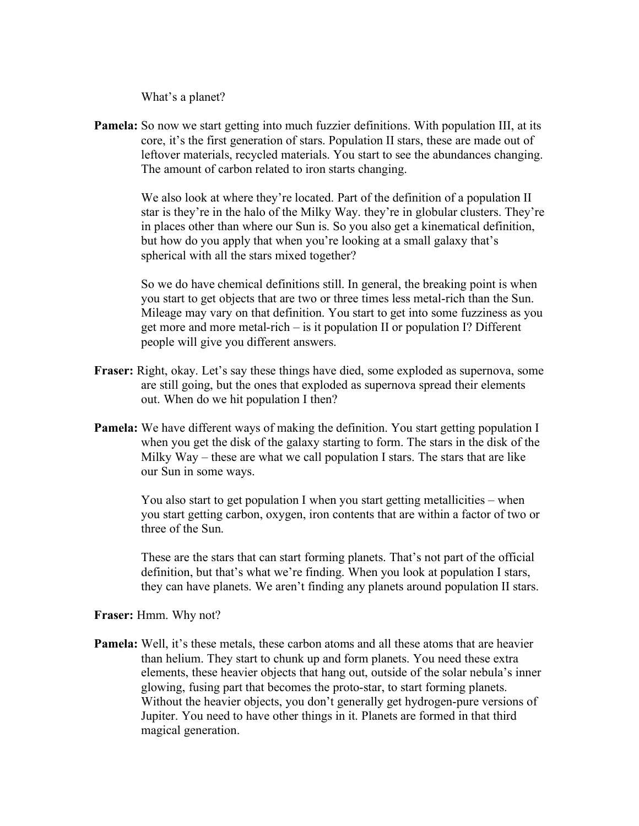What's a planet?

**Pamela:** So now we start getting into much fuzzier definitions. With population III, at its core, it's the first generation of stars. Population II stars, these are made out of leftover materials, recycled materials. You start to see the abundances changing. The amount of carbon related to iron starts changing.

> We also look at where they're located. Part of the definition of a population II star is they're in the halo of the Milky Way. they're in globular clusters. They're in places other than where our Sun is. So you also get a kinematical definition, but how do you apply that when you're looking at a small galaxy that's spherical with all the stars mixed together?

> So we do have chemical definitions still. In general, the breaking point is when you start to get objects that are two or three times less metal-rich than the Sun. Mileage may vary on that definition. You start to get into some fuzziness as you get more and more metal-rich – is it population II or population I? Different people will give you different answers.

- **Fraser:** Right, okay. Let's say these things have died, some exploded as supernova, some are still going, but the ones that exploded as supernova spread their elements out. When do we hit population I then?
- **Pamela:** We have different ways of making the definition. You start getting population I when you get the disk of the galaxy starting to form. The stars in the disk of the Milky Way – these are what we call population I stars. The stars that are like our Sun in some ways.

You also start to get population I when you start getting metallicities – when you start getting carbon, oxygen, iron contents that are within a factor of two or three of the Sun.

These are the stars that can start forming planets. That's not part of the official definition, but that's what we're finding. When you look at population I stars, they can have planets. We aren't finding any planets around population II stars.

**Fraser:** Hmm. Why not?

**Pamela:** Well, it's these metals, these carbon atoms and all these atoms that are heavier than helium. They start to chunk up and form planets. You need these extra elements, these heavier objects that hang out, outside of the solar nebula's inner glowing, fusing part that becomes the proto-star, to start forming planets. Without the heavier objects, you don't generally get hydrogen-pure versions of Jupiter. You need to have other things in it. Planets are formed in that third magical generation.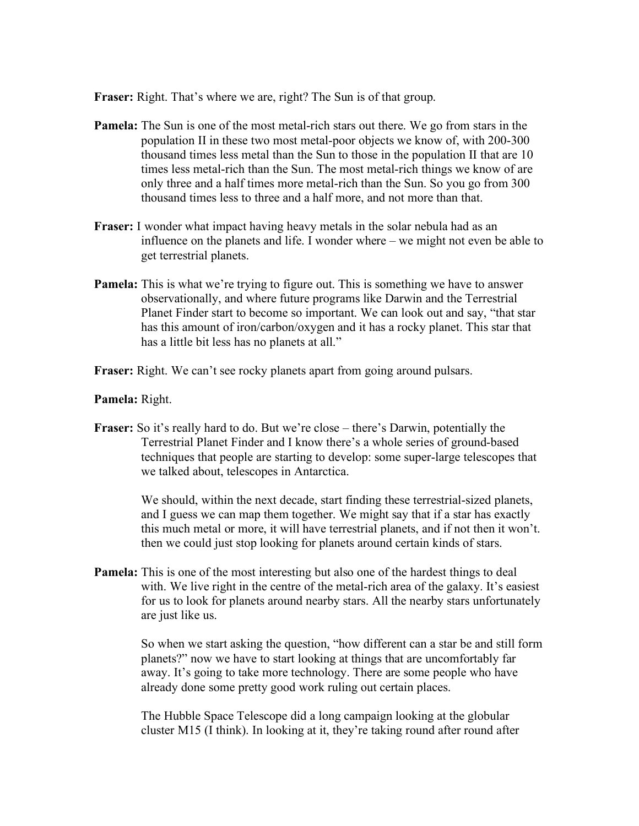**Fraser:** Right. That's where we are, right? The Sun is of that group.

- **Pamela:** The Sun is one of the most metal-rich stars out there. We go from stars in the population II in these two most metal-poor objects we know of, with 200-300 thousand times less metal than the Sun to those in the population II that are 10 times less metal-rich than the Sun. The most metal-rich things we know of are only three and a half times more metal-rich than the Sun. So you go from 300 thousand times less to three and a half more, and not more than that.
- **Fraser:** I wonder what impact having heavy metals in the solar nebula had as an influence on the planets and life. I wonder where – we might not even be able to get terrestrial planets.
- **Pamela:** This is what we're trying to figure out. This is something we have to answer observationally, and where future programs like Darwin and the Terrestrial Planet Finder start to become so important. We can look out and say, "that star has this amount of iron/carbon/oxygen and it has a rocky planet. This star that has a little bit less has no planets at all."
- **Fraser:** Right. We can't see rocky planets apart from going around pulsars.

## **Pamela:** Right.

**Fraser:** So it's really hard to do. But we're close – there's Darwin, potentially the Terrestrial Planet Finder and I know there's a whole series of ground-based techniques that people are starting to develop: some super-large telescopes that we talked about, telescopes in Antarctica.

> We should, within the next decade, start finding these terrestrial-sized planets, and I guess we can map them together. We might say that if a star has exactly this much metal or more, it will have terrestrial planets, and if not then it won't. then we could just stop looking for planets around certain kinds of stars.

**Pamela:** This is one of the most interesting but also one of the hardest things to deal with. We live right in the centre of the metal-rich area of the galaxy. It's easiest for us to look for planets around nearby stars. All the nearby stars unfortunately are just like us.

> So when we start asking the question, "how different can a star be and still form planets?" now we have to start looking at things that are uncomfortably far away. It's going to take more technology. There are some people who have already done some pretty good work ruling out certain places.

The Hubble Space Telescope did a long campaign looking at the globular cluster M15 (I think). In looking at it, they're taking round after round after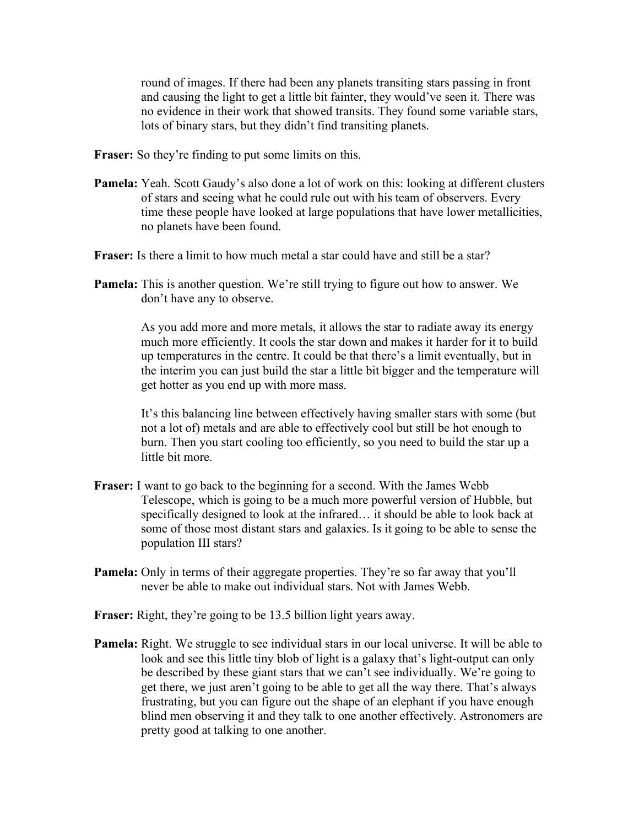round of images. If there had been any planets transiting stars passing in front and causing the light to get a little bit fainter, they would've seen it. There was no evidence in their work that showed transits. They found some variable stars, lots of binary stars, but they didn't find transiting planets.

**Fraser:** So they're finding to put some limits on this.

- **Pamela:** Yeah. Scott Gaudy's also done a lot of work on this: looking at different clusters of stars and seeing what he could rule out with his team of observers. Every time these people have looked at large populations that have lower metallicities, no planets have been found.
- **Fraser:** Is there a limit to how much metal a star could have and still be a star?
- **Pamela:** This is another question. We're still trying to figure out how to answer. We don't have any to observe.

As you add more and more metals, it allows the star to radiate away its energy much more efficiently. It cools the star down and makes it harder for it to build up temperatures in the centre. It could be that there's a limit eventually, but in the interim you can just build the star a little bit bigger and the temperature will get hotter as you end up with more mass.

It's this balancing line between effectively having smaller stars with some (but not a lot of) metals and are able to effectively cool but still be hot enough to burn. Then you start cooling too efficiently, so you need to build the star up a little bit more.

- **Fraser:** I want to go back to the beginning for a second. With the James Webb Telescope, which is going to be a much more powerful version of Hubble, but specifically designed to look at the infrared… it should be able to look back at some of those most distant stars and galaxies. Is it going to be able to sense the population III stars?
- **Pamela:** Only in terms of their aggregate properties. They're so far away that you'll never be able to make out individual stars. Not with James Webb.
- **Fraser:** Right, they're going to be 13.5 billion light years away.
- **Pamela:** Right. We struggle to see individual stars in our local universe. It will be able to look and see this little tiny blob of light is a galaxy that's light-output can only be described by these giant stars that we can't see individually. We're going to get there, we just aren't going to be able to get all the way there. That's always frustrating, but you can figure out the shape of an elephant if you have enough blind men observing it and they talk to one another effectively. Astronomers are pretty good at talking to one another.